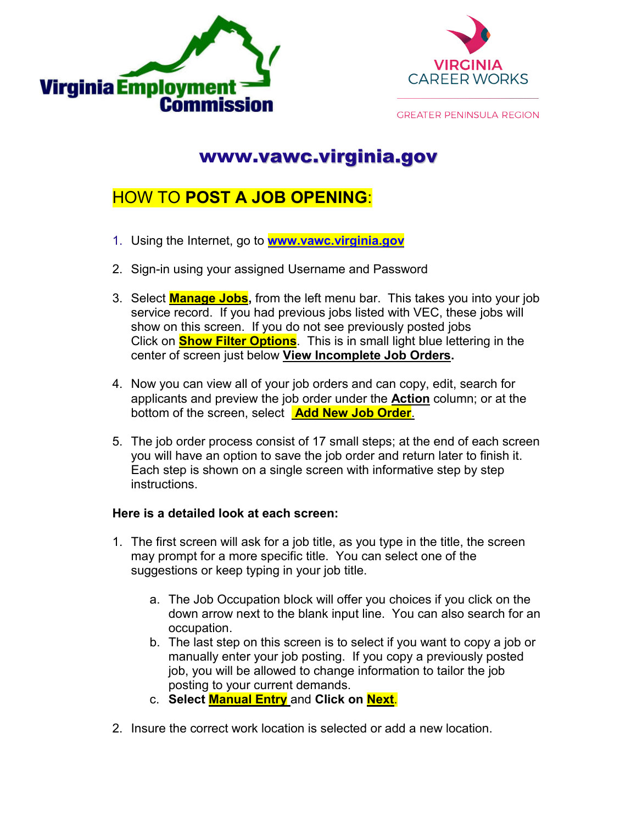



**GREATER PENINSULA REGION** 

## www.vawc.virginia.gov

## HOW TO **POST A JOB OPENING**:

- 1. Using the Internet, go to **www.vawc.virginia.gov**
- 2. Sign-in using your assigned Username and Password
- 3. Select **Manage Jobs,** from the left menu bar. This takes you into your job service record. If you had previous jobs listed with VEC, these jobs will show on this screen. If you do not see previously posted jobs Click on **Show Filter Options**. This is in small light blue lettering in the center of screen just below **View Incomplete Job Orders.**
- 4. Now you can view all of your job orders and can copy, edit, search for applicants and preview the job order under the **Action** column; or at the bottom of the screen, select **Add New Job Order**.
- 5. The job order process consist of 17 small steps; at the end of each screen you will have an option to save the job order and return later to finish it. Each step is shown on a single screen with informative step by step instructions.

## **Here is a detailed look at each screen:**

- 1. The first screen will ask for a job title, as you type in the title, the screen may prompt for a more specific title. You can select one of the suggestions or keep typing in your job title.
	- a. The Job Occupation block will offer you choices if you click on the down arrow next to the blank input line. You can also search for an occupation.
	- b. The last step on this screen is to select if you want to copy a job or manually enter your job posting. If you copy a previously posted job, you will be allowed to change information to tailor the job posting to your current demands.
	- c. **Select Manual Entry** and **Click on Next**.
- 2. Insure the correct work location is selected or add a new location.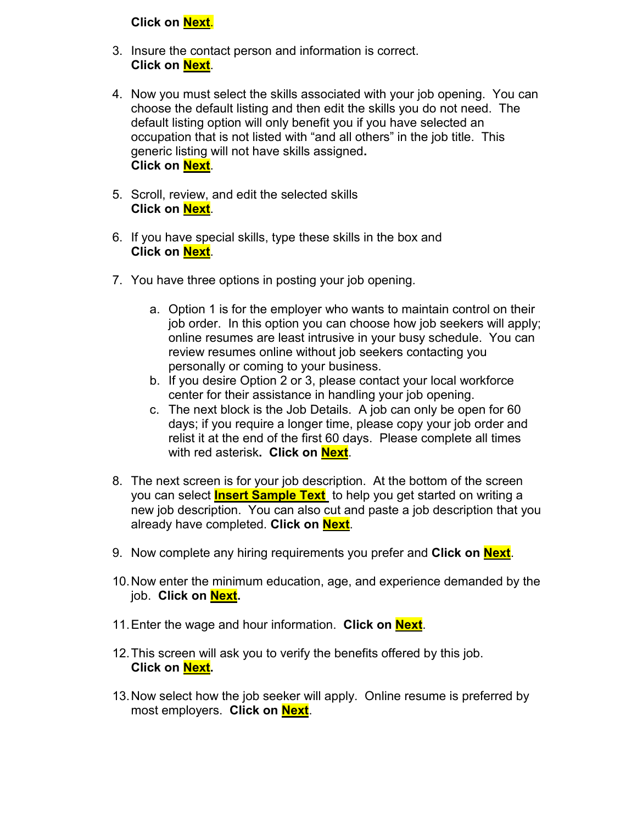## **Click on Next**.

- 3. Insure the contact person and information is correct. **Click on Next**.
- 4. Now you must select the skills associated with your job opening. You can choose the default listing and then edit the skills you do not need. The default listing option will only benefit you if you have selected an occupation that is not listed with "and all others" in the job title. This generic listing will not have skills assigned**. Click on Next**.
- 5. Scroll, review, and edit the selected skills **Click on Next**.
- 6. If you have special skills, type these skills in the box and **Click on Next**.
- 7. You have three options in posting your job opening.
	- a. Option 1 is for the employer who wants to maintain control on their job order. In this option you can choose how job seekers will apply; online resumes are least intrusive in your busy schedule. You can review resumes online without job seekers contacting you personally or coming to your business.
	- b. If you desire Option 2 or 3, please contact your local workforce center for their assistance in handling your job opening.
	- c. The next block is the Job Details. A job can only be open for 60 days; if you require a longer time, please copy your job order and relist it at the end of the first 60 days. Please complete all times with red asterisk**. Click on Next**.
- 8. The next screen is for your job description. At the bottom of the screen you can select **Insert Sample Text** to help you get started on writing a new job description. You can also cut and paste a job description that you already have completed. **Click on Next**.
- 9. Now complete any hiring requirements you prefer and **Click on Next**.
- 10.Now enter the minimum education, age, and experience demanded by the job. **Click on Next.**
- 11.Enter the wage and hour information. **Click on Next**.
- 12.This screen will ask you to verify the benefits offered by this job. **Click on Next.**
- 13.Now select how the job seeker will apply. Online resume is preferred by most employers. **Click on Next**.